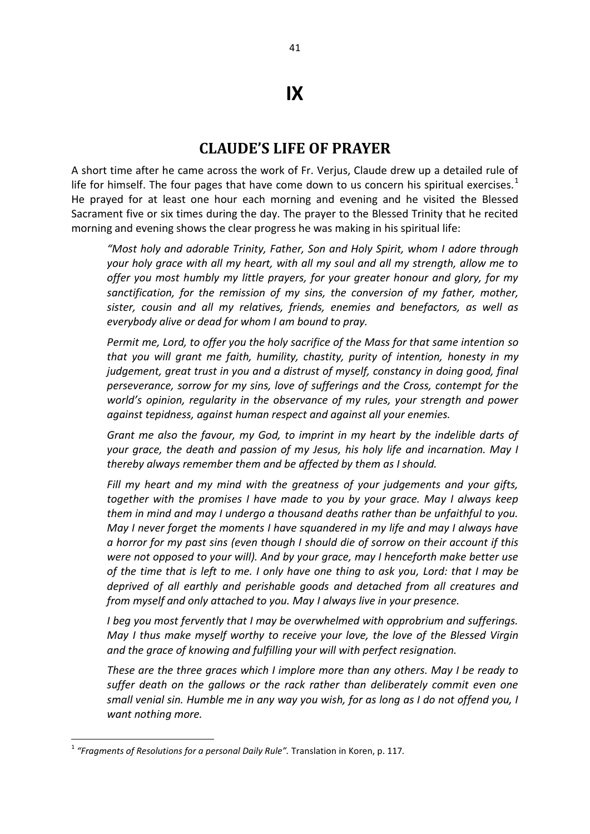## **IX**

## **CLAUDE'S LIFE OF PRAYER**

A short time after he came across the work of Fr. Verjus, Claude drew up a detailed rule of life for himself. The four pages that have come down to us concern his spiritual exercises.<sup>1</sup> He prayed for at least one hour each morning and evening and he visited the Blessed Sacrament five or six times during the day. The prayer to the Blessed Trinity that he recited morning and evening shows the clear progress he was making in his spiritual life:

*"Most holy and adorable Trinity, Father, Son and Holy Spirit, whom I adore through your holy grace with all my heart, with all my soul and all my strength, allow me to offer you most humbly my little prayers, for your greater honour and glory, for my sanctification, for the remission of my sins, the conversion of my father, mother, sister, cousin and all my relatives, friends, enemies and benefactors, as well as everybody alive or dead for whom I am bound to pray.* 

*Permit me, Lord, to offer you the holy sacrifice of the Mass for that same intention so that you will grant me faith, humility, chastity, purity of intention, honesty in my judgement, great trust in you and a distrust of myself, constancy in doing good, final perseverance, sorrow for my sins, love of sufferings and the Cross, contempt for the world's opinion, regularity in the observance of my rules, your strength and power against tepidness, against human respect and against all your enemies.* 

*Grant me also the favour, my God, to imprint in my heart by the indelible darts of your grace, the death and passion of my Jesus, his holy life and incarnation. May I thereby always remember them and be affected by them as I should.* 

*Fill my heart and my mind with the greatness of your judgements and your gifts, together with the promises I have made to you by your grace. May I always keep them in mind and may I undergo a thousand deaths rather than be unfaithful to you. May I never forget the moments I have squandered in my life and may I always have a horror for my past sins (even though I should die of sorrow on their account if this were not opposed to your will). And by your grace, may I henceforth make better use of the time that is left to me. I only have one thing to ask you, Lord: that I may be deprived of all earthly and perishable goods and detached from all creatures and from myself and only attached to you. May I always live in your presence.* 

*I beg you most fervently that I may be overwhelmed with opprobrium and sufferings. May I thus make myself worthy to receive your love, the love of the Blessed Virgin and the grace of knowing and fulfilling your will with perfect resignation.* 

*These are the three graces which I implore more than any others. May I be ready to suffer death on the gallows or the rack rather than deliberately commit even one small venial sin. Humble me in any way you wish, for as long as I do not offend you, I want nothing more.* 

**.** 

<sup>&</sup>lt;sup>1</sup> "Fragments of Resolutions for a personal Daily Rule". Translation in Koren, p. 117.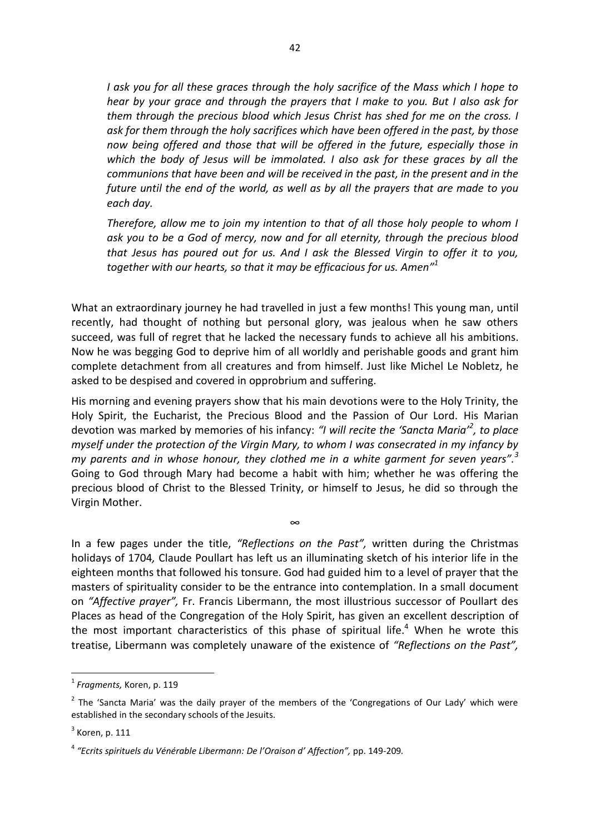*I ask you for all these graces through the holy sacrifice of the Mass which I hope to hear by your grace and through the prayers that I make to you. But I also ask for them through the precious blood which Jesus Christ has shed for me on the cross. I ask for them through the holy sacrifices which have been offered in the past, by those now being offered and those that will be offered in the future, especially those in which the body of Jesus will be immolated. I also ask for these graces by all the communions that have been and will be received in the past, in the present and in the future until the end of the world, as well as by all the prayers that are made to you each day.* 

*Therefore, allow me to join my intention to that of all those holy people to whom I ask you to be a God of mercy, now and for all eternity, through the precious blood that Jesus has poured out for us. And I ask the Blessed Virgin to offer it to you, together with our hearts, so that it may be efficacious for us. Amen" 1* 

What an extraordinary journey he had travelled in just a few months! This young man, until recently, had thought of nothing but personal glory, was jealous when he saw others succeed, was full of regret that he lacked the necessary funds to achieve all his ambitions. Now he was begging God to deprive him of all worldly and perishable goods and grant him complete detachment from all creatures and from himself. Just like Michel Le Nobletz, he asked to be despised and covered in opprobrium and suffering.

His morning and evening prayers show that his main devotions were to the Holy Trinity, the Holy Spirit, the Eucharist, the Precious Blood and the Passion of Our Lord. His Marian devotion was marked by memories of his infancy: *"I will recite the 'Sancta Maria'<sup>2</sup> , to place myself under the protection of the Virgin Mary, to whom I was consecrated in my infancy by my parents and in whose honour, they clothed me in a white garment for seven years".<sup>3</sup>* Going to God through Mary had become a habit with him; whether he was offering the precious blood of Christ to the Blessed Trinity, or himself to Jesus, he did so through the Virgin Mother.

∞

In a few pages under the title, *"Reflections on the Past",* written during the Christmas holidays of 1704*,* Claude Poullart has left us an illuminating sketch of his interior life in the eighteen months that followed his tonsure. God had guided him to a level of prayer that the masters of spirituality consider to be the entrance into contemplation. In a small document on *"Affective prayer",* Fr. Francis Libermann, the most illustrious successor of Poullart des Places as head of the Congregation of the Holy Spirit, has given an excellent description of the most important characteristics of this phase of spiritual life.<sup>4</sup> When he wrote this treatise, Libermann was completely unaware of the existence of *"Reflections on the Past",* 

1

<sup>1</sup> *Fragments,* Koren, p. 119

<sup>&</sup>lt;sup>2</sup> The 'Sancta Maria' was the daily prayer of the members of the 'Congregations of Our Lady' which were established in the secondary schools of the Jesuits.

 $3$  Koren, p. 111

<sup>4</sup> *"Ecrits spirituels du Vénérable Libermann: De l'Oraison d' Affection",* pp. 149-209*.*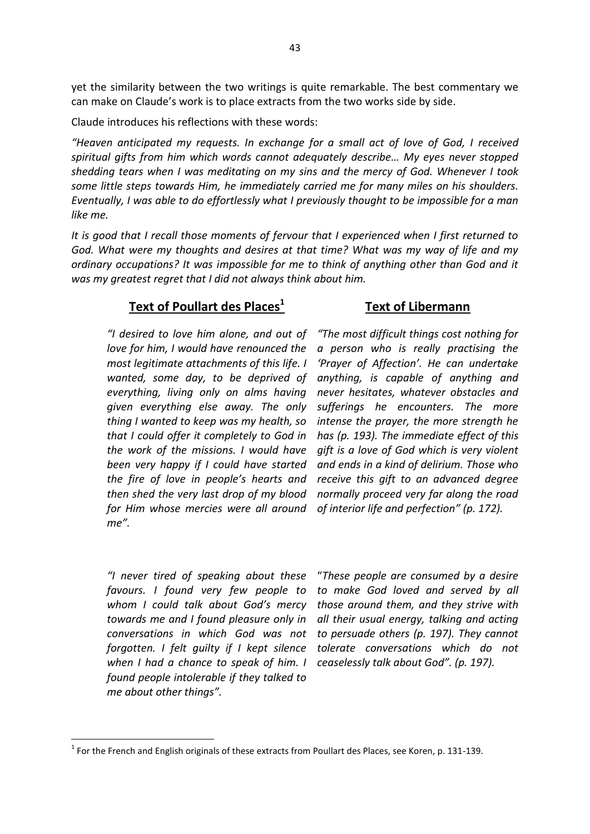yet the similarity between the two writings is quite remarkable. The best commentary we can make on Claude's work is to place extracts from the two works side by side.

Claude introduces his reflections with these words:

*"Heaven anticipated my requests. In exchange for a small act of love of God, I received spiritual gifts from him which words cannot adequately describe… My eyes never stopped shedding tears when I was meditating on my sins and the mercy of God. Whenever I took some little steps towards Him, he immediately carried me for many miles on his shoulders. Eventually, I was able to do effortlessly what I previously thought to be impossible for a man like me.* 

*It is good that I recall those moments of fervour that I experienced when I first returned to God. What were my thoughts and desires at that time? What was my way of life and my ordinary occupations? It was impossible for me to think of anything other than God and it was my greatest regret that I did not always think about him.* 

## **Text of Poullart des Places<sup>1</sup>**

## **Text of Libermann**

*"I desired to love him alone, and out of love for him, I would have renounced the most legitimate attachments of this life. I wanted, some day, to be deprived of everything, living only on alms having given everything else away. The only thing I wanted to keep was my health, so that I could offer it completely to God in the work of the missions. I would have been very happy if I could have started the fire of love in people's hearts and then shed the very last drop of my blood for Him whose mercies were all around me".* 

*"The most difficult things cost nothing for a person who is really practising the 'Prayer of Affection'. He can undertake anything, is capable of anything and never hesitates, whatever obstacles and sufferings he encounters. The more intense the prayer, the more strength he has (p. 193). The immediate effect of this gift is a love of God which is very violent and ends in a kind of delirium. Those who receive this gift to an advanced degree normally proceed very far along the road of interior life and perfection" (p. 172).* 

*"I never tired of speaking about these favours. I found very few people to whom I could talk about God's mercy towards me and I found pleasure only in conversations in which God was not forgotten. I felt guilty if I kept silence when I had a chance to speak of him. I found people intolerable if they talked to me about other things".* 

**.** 

"*These people are consumed by a desire to make God loved and served by all those around them, and they strive with all their usual energy, talking and acting to persuade others (p. 197). They cannot tolerate conversations which do not ceaselessly talk about God". (p. 197).*

 $1$  For the French and English originals of these extracts from Poullart des Places, see Koren, p. 131-139.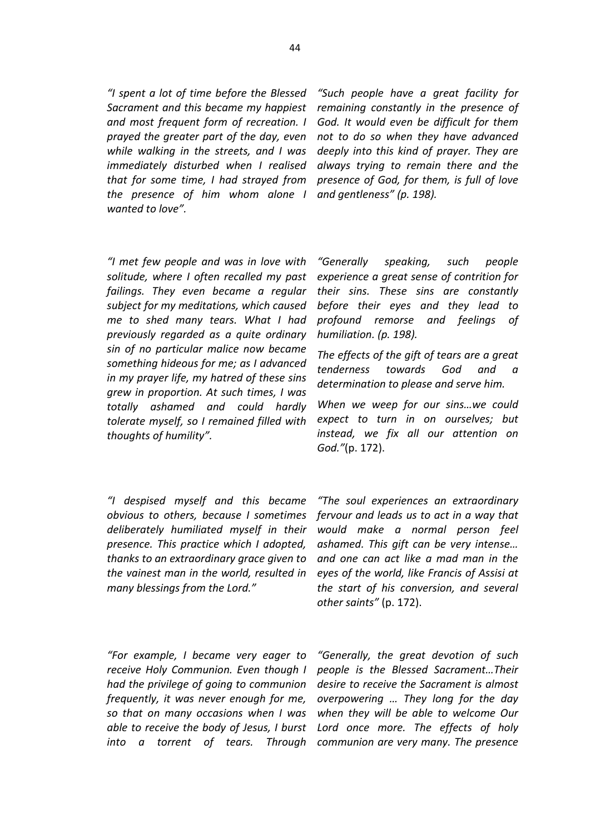*"I spent a lot of time before the Blessed Sacrament and this became my happiest and most frequent form of recreation. I prayed the greater part of the day, even while walking in the streets, and I was immediately disturbed when I realised that for some time, I had strayed from the presence of him whom alone I wanted to love".* 

*"I met few people and was in love with solitude, where I often recalled my past failings. They even became a regular subject for my meditations, which caused me to shed many tears. What I had previously regarded as a quite ordinary sin of no particular malice now became something hideous for me; as I advanced in my prayer life, my hatred of these sins grew in proportion. At such times, I was totally ashamed and could hardly tolerate myself, so I remained filled with thoughts of humility".* 

*"I despised myself and this became deliberately humiliated myself in their presence. This practice which I adopted, thanks to an extraordinary grace given to the vainest man in the world, resulted in many blessings from the Lord."* 

*"For example, I became very eager to receive Holy Communion. Even though I had the privilege of going to communion frequently, it was never enough for me, so that on many occasions when I was able to receive the body of Jesus, I burst* 

*"Such people have a great facility for remaining constantly in the presence of God. It would even be difficult for them not to do so when they have advanced deeply into this kind of prayer. They are always trying to remain there and the presence of God, for them, is full of love and gentleness" (p. 198).* 

*"Generally speaking, such people experience a great sense of contrition for their sins. These sins are constantly before their eyes and they lead to profound remorse and feelings of humiliation. (p. 198).* 

*The effects of the gift of tears are a great tenderness towards God and a determination to please and serve him.*

*When we weep for our sins…we could expect to turn in on ourselves; but instead, we fix all our attention on God."*(p. 172).

*obvious to others, because I sometimes fervour and leads us to act in a way that "The soul experiences an extraordinary would make a normal person feel ashamed. This gift can be very intense… and one can act like a mad man in the eyes of the world, like Francis of Assisi at the start of his conversion, and several other saints"* (p. 172).

*into a torrent of tears. Through communion are very many. The presence "Generally, the great devotion of such people is the Blessed Sacrament…Their desire to receive the Sacrament is almost overpowering … They long for the day when they will be able to welcome Our Lord once more. The effects of holy*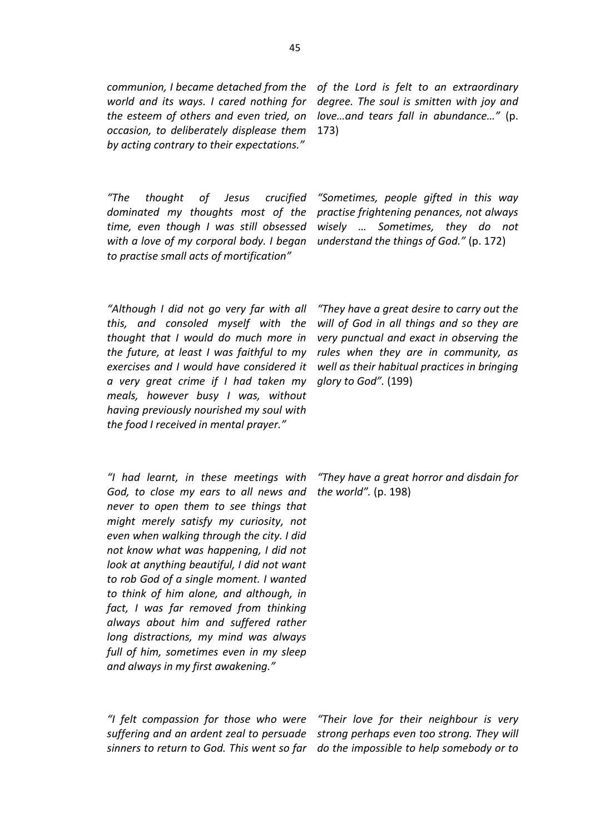*communion, I became detached from the world and its ways. I cared nothing for the esteem of others and even tried, on occasion, to deliberately displease them by acting contrary to their expectations."* 

*of the Lord is felt to an extraordinary degree. The soul is smitten with joy and love…and tears fall in abundance…"* (p. 173)

*"Sometimes, people gifted in this way practise frightening penances, not always wisely … Sometimes, they do not understand the things of God."* (p. 172)

*"The thought of Jesus crucified dominated my thoughts most of the time, even though I was still obsessed with a love of my corporal body. I began to practise small acts of mortification"*

*"Although I did not go very far with all this, and consoled myself with the thought that I would do much more in the future, at least I was faithful to my exercises and I would have considered it a very great crime if I had taken my meals, however busy I was, without having previously nourished my soul with the food I received in mental prayer."*

*"I had learnt, in these meetings with God, to close my ears to all news and never to open them to see things that might merely satisfy my curiosity, not even when walking through the city. I did not know what was happening, I did not look at anything beautiful, I did not want to rob God of a single moment. I wanted to think of him alone, and although, in fact, I was far removed from thinking always about him and suffered rather long distractions, my mind was always full of him, sometimes even in my sleep and always in my first awakening."* 

*"They have a great desire to carry out the will of God in all things and so they are very punctual and exact in observing the rules when they are in community, as well as their habitual practices in bringing glory to God".* (199)

*"They have a great horror and disdain for the world".* (p. 198)

*"I felt compassion for those who were suffering and an ardent zeal to persuade*

*sinners to return to God. This went so far do the impossible to help somebody or to "Their love for their neighbour is very strong perhaps even too strong. They will*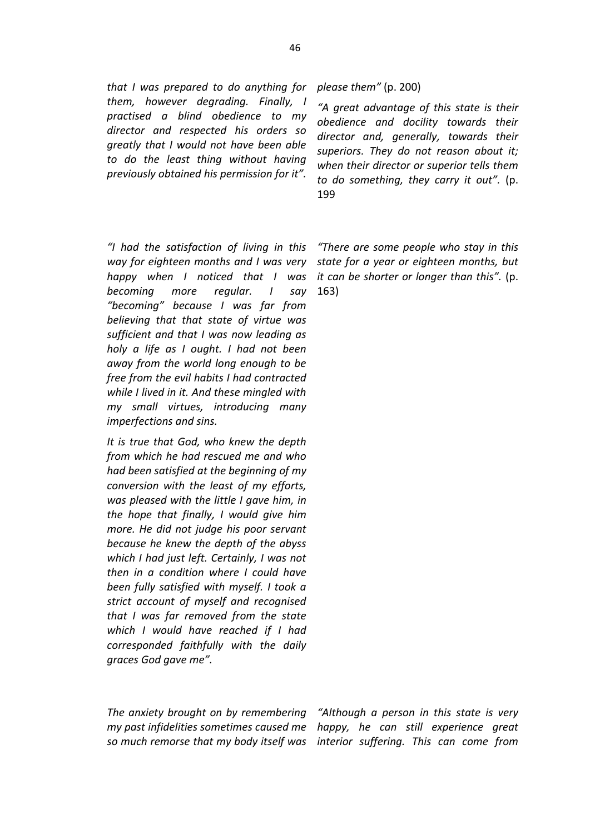*that I was prepared to do anything for them, however degrading. Finally, I practised a blind obedience to my director and respected his orders so greatly that I would not have been able to do the least thing without having previously obtained his permission for it".*

*"I had the satisfaction of living in this way for eighteen months and I was very happy when I noticed that I was becoming more regular. I say "becoming" because I was far from believing that that state of virtue was sufficient and that I was now leading as holy a life as I ought. I had not been away from the world long enough to be free from the evil habits I had contracted while I lived in it. And these mingled with my small virtues, introducing many imperfections and sins.* 

*It is true that God, who knew the depth from which he had rescued me and who had been satisfied at the beginning of my conversion with the least of my efforts, was pleased with the little I gave him, in the hope that finally, I would give him more. He did not judge his poor servant because he knew the depth of the abyss which I had just left. Certainly, I was not then in a condition where I could have been fully satisfied with myself. I took a strict account of myself and recognised that I was far removed from the state which I would have reached if I had corresponded faithfully with the daily graces God gave me".* 

*please them"* (p. 200)

*"A great advantage of this state is their obedience and docility towards their director and, generally, towards their superiors. They do not reason about it; when their director or superior tells them to do something, they carry it out".* (p. 199

*"There are some people who stay in this state for a year or eighteen months, but it can be shorter or longer than this".* (p. 163)

*The anxiety brought on by remembering my past infidelities sometimes caused me* 

*so much remorse that my body itself was interior suffering. This can come from "Although a person in this state is very happy, he can still experience great*